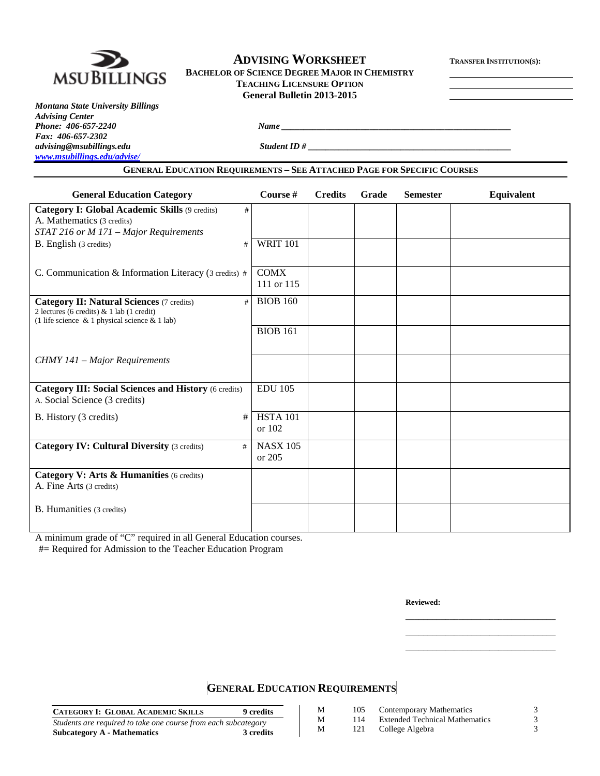

# **ADVISING WORKSHEET TRANSFER INSTITUTION(S):**

**BACHELOR OF SCIENCE DEGREE MAJOR IN CHEMISTRY TEACHING LICENSURE OPTION General Bulletin 2013-2015**

*Montana State University Billings Advising Center Phone: 406-657-2240 Name \_\_\_\_\_\_\_\_\_\_\_\_\_\_\_\_\_\_\_\_\_\_\_\_\_\_\_\_\_\_\_\_\_\_\_\_\_\_\_\_\_\_\_\_\_\_\_\_\_\_\_\_ Fax: 406-657-2302 [www.msubillings.edu/advise/](http://www.msubillings.edu/advise/)*

*advising@msubillings.edu Student ID # \_\_\_\_\_\_\_\_\_\_\_\_\_\_\_\_\_\_\_\_\_\_\_\_\_\_\_\_\_\_\_\_\_\_\_\_\_\_\_\_\_\_\_\_\_\_*

## **GENERAL EDUCATION REQUIREMENTS – SEE ATTACHED PAGE FOR SPECIFIC COURSES**

| <b>General Education Category</b>                                                                                                                         | Course #                    | <b>Credits</b> | Grade | <b>Semester</b> | Equivalent |
|-----------------------------------------------------------------------------------------------------------------------------------------------------------|-----------------------------|----------------|-------|-----------------|------------|
| <b>Category I: Global Academic Skills (9 credits)</b><br>#<br>A. Mathematics (3 credits)<br>STAT 216 or M 171 - Major Requirements                        |                             |                |       |                 |            |
| B. English (3 credits)<br>#                                                                                                                               | <b>WRIT 101</b>             |                |       |                 |            |
| C. Communication & Information Literacy (3 credits) #                                                                                                     | <b>COMX</b><br>111 or 115   |                |       |                 |            |
| <b>Category II: Natural Sciences (7 credits)</b><br>#<br>2 lectures (6 credits) & 1 lab (1 credit)<br>(1 life science $\&$ 1 physical science $\&$ 1 lab) | <b>BIOB 160</b>             |                |       |                 |            |
|                                                                                                                                                           | <b>BIOB 161</b>             |                |       |                 |            |
| <b>CHMY 141 – Major Requirements</b>                                                                                                                      |                             |                |       |                 |            |
| <b>Category III: Social Sciences and History (6 credits)</b><br>A. Social Science (3 credits)                                                             | <b>EDU 105</b>              |                |       |                 |            |
| B. History (3 credits)<br>#                                                                                                                               | <b>HSTA 101</b><br>or $102$ |                |       |                 |            |
| <b>Category IV: Cultural Diversity (3 credits)</b><br>#                                                                                                   | <b>NASX 105</b><br>or 205   |                |       |                 |            |
| Category V: Arts & Humanities (6 credits)<br>A. Fine Arts (3 credits)                                                                                     |                             |                |       |                 |            |
| B. Humanities (3 credits)                                                                                                                                 |                             |                |       |                 |            |

A minimum grade of "C" required in all General Education courses.

#= Required for Admission to the Teacher Education Program

**Reviewed:**

\_\_\_\_\_\_\_\_\_\_\_\_\_\_\_\_\_\_\_\_\_\_\_\_\_\_\_\_\_\_\_\_\_\_ \_\_\_\_\_\_\_\_\_\_\_\_\_\_\_\_\_\_\_\_\_\_\_\_\_\_\_\_\_\_\_\_\_\_ \_\_\_\_\_\_\_\_\_\_\_\_\_\_\_\_\_\_\_\_\_\_\_\_\_\_\_\_\_\_\_\_\_\_

# **GENERAL EDUCATION REQUIREMENTS**

| <b>CATEGORY I: GLOBAL ACADEMIC SKILLS</b><br><b>9</b> credits  | М | 105 | Contemporary Mathematics              |  |
|----------------------------------------------------------------|---|-----|---------------------------------------|--|
| Students are required to take one course from each subcategory | М | 114 | <b>Extended Technical Mathematics</b> |  |
| 3 credits<br>Subcategory A - Mathematics                       | М | 121 | College Algebra                       |  |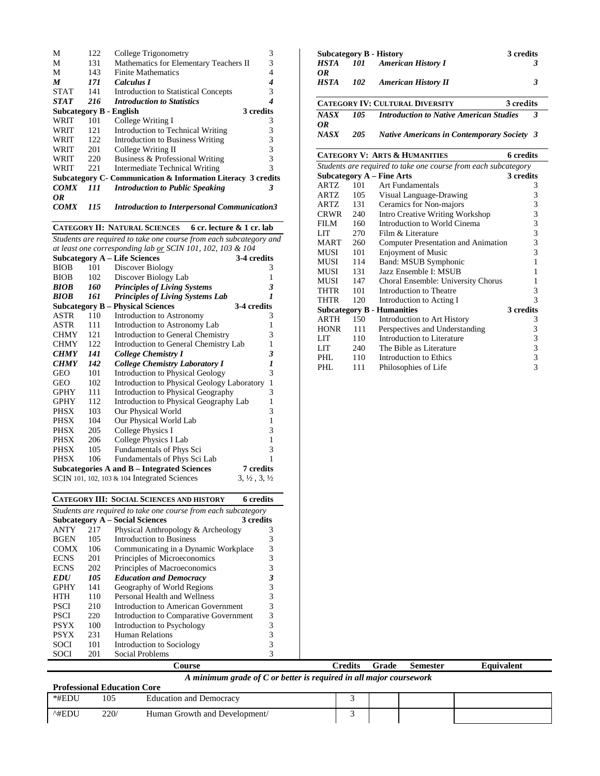| М                       | 122 | College Trigonometry                                          | 3         |
|-------------------------|-----|---------------------------------------------------------------|-----------|
| М                       | 131 | Mathematics for Elementary Teachers II                        | 3         |
| М                       | 143 | Finite Mathematics                                            |           |
| M                       | 171 | Calculus I                                                    |           |
| <b>STAT</b>             | 141 | <b>Introduction to Statistical Concepts</b>                   | 3         |
| <b>STAT</b>             | 216 | <b>Introduction to Statistics</b>                             | 4         |
| Subcategory B - English |     |                                                               | 3 credits |
| WRIT                    | 101 | College Writing I                                             | 3         |
| WRIT                    | 121 | Introduction to Technical Writing                             | 3         |
| WRIT                    | 122 | <b>Introduction to Business Writing</b>                       | 3         |
| WRIT                    | 201 | College Writing II                                            | 3         |
| WRIT                    | 220 | Business & Professional Writing                               | 3         |
| WRIT                    | 221 | Intermediate Technical Writing                                | 3         |
|                         |     | Subcategory C- Communication & Information Literacy 3 credits |           |
| <b>COMX</b>             | 111 | <b>Introduction to Public Speaking</b>                        | 3         |
| OR                      |     |                                                               |           |
| <i>COMX</i>             | 115 | <b>Introduction to Interpersonal Communication3</b>           |           |

#### **CATEGORY II: NATURAL SCIENCES 6 cr. lecture & 1 cr. lab**

|                                                            |      | Students are required to take one course from each subcategory and |                                  |  |  |  |
|------------------------------------------------------------|------|--------------------------------------------------------------------|----------------------------------|--|--|--|
| at least one corresponding lab or SCIN 101, 102, 103 & 104 |      |                                                                    |                                  |  |  |  |
| <b>Subcategory A – Life Sciences</b><br>3-4 credits        |      |                                                                    |                                  |  |  |  |
| <b>BIOB</b>                                                | 101  | Discover Biology                                                   | 3                                |  |  |  |
| <b>BIOB</b>                                                | 102  | Discover Biology Lab                                               | 1                                |  |  |  |
| <b>BIOB</b>                                                | 160- | <b>Principles of Living Systems</b>                                | 3                                |  |  |  |
| <b>BIOB</b>                                                | 161  | <b>Principles of Living Systems Lab</b>                            | 1                                |  |  |  |
|                                                            |      | <b>Subcategory B – Physical Sciences</b><br>3-4 credits            |                                  |  |  |  |
| <b>ASTR</b>                                                | 110  | Introduction to Astronomy                                          | 3                                |  |  |  |
| <b>ASTR</b>                                                | 111  | Introduction to Astronomy Lab                                      | 1                                |  |  |  |
| <b>CHMY</b>                                                | 121  | Introduction to General Chemistry                                  | 3                                |  |  |  |
| <b>CHMY</b>                                                | 122  | Introduction to General Chemistry Lab                              | 1                                |  |  |  |
| <b>CHMY</b>                                                | 141  | College Chemistry I                                                | 3                                |  |  |  |
| <b>CHMY</b>                                                | 142  | <b>College Chemistry Laboratory I</b>                              | 1                                |  |  |  |
| <b>GEO</b>                                                 | 101  | <b>Introduction to Physical Geology</b>                            | 3                                |  |  |  |
| <b>GEO</b>                                                 | 102  | <b>Introduction to Physical Geology Laboratory</b>                 | 1                                |  |  |  |
| GPHY                                                       | 111  | Introduction to Physical Geography                                 | 3                                |  |  |  |
| <b>GPHY</b>                                                | 112  | Introduction to Physical Geography Lab                             | 1                                |  |  |  |
| <b>PHSX</b>                                                | 103  | Our Physical World                                                 | 3                                |  |  |  |
| PHSX                                                       | 104  | Our Physical World Lab                                             | 1                                |  |  |  |
| <b>PHSX</b>                                                | 205  | College Physics I                                                  | 3                                |  |  |  |
| <b>PHSX</b>                                                | 206  | College Physics I Lab                                              | 1                                |  |  |  |
| <b>PHSX</b>                                                | 105  | Fundamentals of Phys Sci                                           | 3                                |  |  |  |
| <b>PHSX</b>                                                | 106  | Fundamentals of Phys Sci Lab                                       | 1                                |  |  |  |
|                                                            |      | Subcategories A and B – Integrated Sciences                        | <b>7</b> credits                 |  |  |  |
|                                                            |      | SCIN 101, 102, 103 & 104 Integrated Sciences                       | $3, \frac{1}{2}, 3, \frac{1}{2}$ |  |  |  |

|                   |     | Subcategory B - History                                        | 3 credits        |
|-------------------|-----|----------------------------------------------------------------|------------------|
| HSTA              |     | 101 American History I                                         | 3                |
| OR<br><b>HSTA</b> | 102 | <b>American History II</b>                                     | 3                |
|                   |     | <b>CATEGORY IV: CULTURAL DIVERSITY</b>                         | 3 credits        |
| NA SX<br>OR.      | 105 | <b>Introduction to Native American Studies</b>                 | 3                |
| NASX              | 205 | <b>Native Americans in Contemporary Society 3</b>              |                  |
|                   |     | <b>CATEGORY V: ARTS &amp; HUMANITIES</b>                       | <b>6</b> credits |
|                   |     | Students are required to take one course from each subcategory |                  |
|                   |     | Subcategory A _ Fine Arts                                      | 3 eredite        |

|             |     | Subcategory A – Fine Arts           | 3 credits |
|-------------|-----|-------------------------------------|-----------|
| ARTZ        | 101 | <b>Art Fundamentals</b>             | 3         |
| ARTZ        | 105 | Visual Language-Drawing             | 3         |
| ARTZ        | 131 | Ceramics for Non-majors             | 3         |
| <b>CRWR</b> | 240 | Intro Creative Writing Workshop     | 3         |
| FILM        | 160 | Introduction to World Cinema        | 3         |
| LIT         | 270 | Film & Literature                   | 3         |
| MART        | 260 | Computer Presentation and Animation | 3         |
| MUSI        | 101 | <b>Enjoyment of Music</b>           | 3         |
| MUSI        | 114 | Band: MSUB Symphonic                |           |
| MUSI        | 131 | Jazz Ensemble I: MSUB               |           |
| MUSI        | 147 | Choral Ensemble: University Chorus  |           |
| THTR        | 101 | Introduction to Theatre             | 3         |
| <b>THTR</b> | 120 | Introduction to Acting I            | 3         |
|             |     | <b>Subcategory B - Humanities</b>   | 3 credits |
| ARTH        | 150 | Introduction to Art History         | 3         |
| <b>HONR</b> | 111 | Perspectives and Understanding      | 3         |
| LIT         | 110 | Introduction to Literature          | 3         |
| LIT         | 240 | The Bible as Literature             | 3         |
| PHL         | 110 | Introduction to Ethics              | 3         |
| PHL         | 111 | Philosophies of Life                | 3         |

|             |     | <b>CATEGORY III: SOCIAL SCIENCES AND HISTORY</b>               | 6 credits |  |                |       |          |
|-------------|-----|----------------------------------------------------------------|-----------|--|----------------|-------|----------|
|             |     | Students are required to take one course from each subcategory |           |  |                |       |          |
|             |     | <b>Subcategory A – Social Sciences</b>                         | 3 credits |  |                |       |          |
| <b>ANTY</b> | 217 | Physical Anthropology & Archeology                             |           |  |                |       |          |
| <b>BGEN</b> | 105 | Introduction to Business                                       |           |  |                |       |          |
| <b>COMX</b> | 106 | Communicating in a Dynamic Workplace                           | 3         |  |                |       |          |
| <b>ECNS</b> | 201 | Principles of Microeconomics                                   |           |  |                |       |          |
| <b>ECNS</b> | 202 | Principles of Macroeconomics                                   |           |  |                |       |          |
| <b>EDU</b>  | 105 | <b>Education and Democracy</b>                                 |           |  |                |       |          |
| <b>GPHY</b> | 141 | Geography of World Regions                                     |           |  |                |       |          |
| <b>HTH</b>  | 110 | Personal Health and Wellness                                   |           |  |                |       |          |
| <b>PSCI</b> | 210 | Introduction to American Government                            |           |  |                |       |          |
| <b>PSCI</b> | 220 | Introduction to Comparative Government                         | 3         |  |                |       |          |
| <b>PSYX</b> | 100 | Introduction to Psychology                                     |           |  |                |       |          |
| <b>PSYX</b> | 231 | <b>Human Relations</b>                                         |           |  |                |       |          |
| <b>SOCI</b> | 101 | Introduction to Sociology                                      |           |  |                |       |          |
| <b>SOCI</b> | 201 | Social Problems                                                |           |  |                |       |          |
|             |     | Course                                                         |           |  | <b>Credits</b> | Grade | Semester |

|                                                                    | .`ourse | Credits | Grade | Semester | Equivalent |  |  |  |
|--------------------------------------------------------------------|---------|---------|-------|----------|------------|--|--|--|
| A minimum grade of C or better is required in all major coursework |         |         |       |          |            |  |  |  |
| <b>Professional Education Core</b>                                 |         |         |       |          |            |  |  |  |
|                                                                    |         |         |       |          |            |  |  |  |

| $* H F$<br>√DE: | 105  | Democracy<br>Education and            |  |  |
|-----------------|------|---------------------------------------|--|--|
| ∧#ь∵            | 220/ | Growth and<br>l Development/<br>Human |  |  |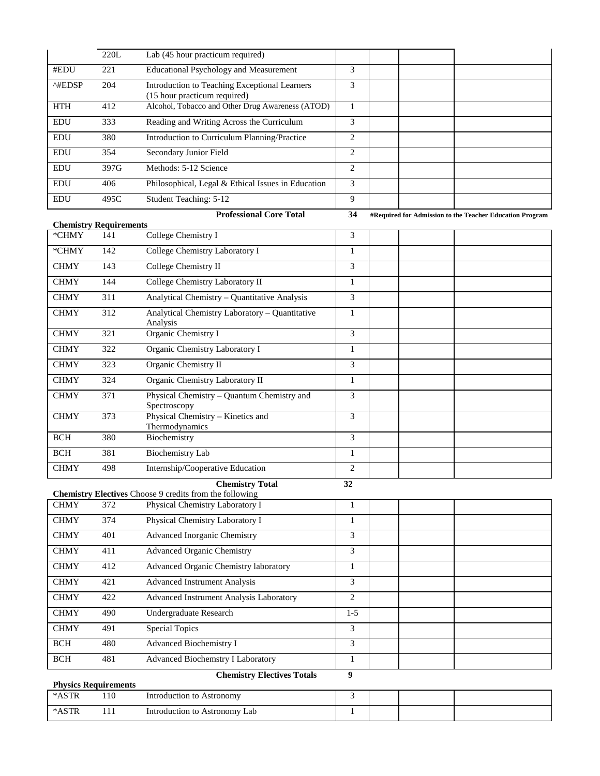|                         | 220L | Lab (45 hour practicum required)                                              |                   |  |
|-------------------------|------|-------------------------------------------------------------------------------|-------------------|--|
| #EDU                    | 221  | <b>Educational Psychology and Measurement</b>                                 | 3                 |  |
| $^{\wedge\text{HEDSP}}$ | 204  | Introduction to Teaching Exceptional Learners<br>(15 hour practicum required) | 3                 |  |
| <b>HTH</b>              | 412  | Alcohol, Tobacco and Other Drug Awareness (ATOD)                              |                   |  |
| <b>EDU</b>              | 333  | Reading and Writing Across the Curriculum                                     | 3                 |  |
| <b>EDU</b>              | 380  | Introduction to Curriculum Planning/Practice                                  | $\mathfrak{D}$    |  |
| <b>EDU</b>              | 354  | Secondary Junior Field                                                        | 2                 |  |
| <b>EDU</b>              | 397G | Methods: 5-12 Science                                                         | 2                 |  |
| <b>EDU</b>              | 406  | Philosophical, Legal & Ethical Issues in Education                            | 3                 |  |
| <b>EDU</b>              | 495C | Student Teaching: 5-12                                                        | 9                 |  |
|                         |      | $\mathbf{r}$ $\mathbf{r}$ $\mathbf{r}$<br>$\sim$<br>.                         | $\sim$ $\epsilon$ |  |

**Professional Core Total 34 #Required for Admission to the Teacher Education Program**

| <b>Chemistry Requirements</b> |     |                                                            |   |  |
|-------------------------------|-----|------------------------------------------------------------|---|--|
| *CHMY                         | 141 | College Chemistry I                                        | 3 |  |
| *CHMY                         | 142 | College Chemistry Laboratory I                             |   |  |
| <b>CHMY</b>                   | 143 | College Chemistry II                                       | 3 |  |
| <b>CHMY</b>                   | 144 | College Chemistry Laboratory II                            | 1 |  |
| <b>CHMY</b>                   | 311 | Analytical Chemistry – Quantitative Analysis               | 3 |  |
| <b>CHMY</b>                   | 312 | Analytical Chemistry Laboratory - Quantitative<br>Analysis |   |  |
| <b>CHMY</b>                   | 321 | Organic Chemistry I                                        | 3 |  |
| <b>CHMY</b>                   | 322 | Organic Chemistry Laboratory I                             |   |  |
| <b>CHMY</b>                   | 323 | Organic Chemistry II                                       | 3 |  |
| <b>CHMY</b>                   | 324 | Organic Chemistry Laboratory II                            | 1 |  |
| <b>CHMY</b>                   | 371 | Physical Chemistry – Quantum Chemistry and<br>Spectroscopy | 3 |  |
| <b>CHMY</b>                   | 373 | Physical Chemistry - Kinetics and<br>Thermodynamics        | 3 |  |
| <b>BCH</b>                    | 380 | Biochemistry                                               | 3 |  |
| <b>BCH</b>                    | 381 | <b>Biochemistry Lab</b>                                    |   |  |
| <b>CHMY</b>                   | 498 | Internship/Cooperative Education                           | 2 |  |

#### **Chemistry Total 32**

| <b>Chemistry Electives</b> Choose 9 credits from the following |     |                                          |       |  |  |  |  |
|----------------------------------------------------------------|-----|------------------------------------------|-------|--|--|--|--|
| <b>CHMY</b>                                                    | 372 | Physical Chemistry Laboratory I          |       |  |  |  |  |
| <b>CHMY</b>                                                    | 374 | Physical Chemistry Laboratory I          |       |  |  |  |  |
| <b>CHMY</b>                                                    | 401 | Advanced Inorganic Chemistry             | 3     |  |  |  |  |
| <b>CHMY</b>                                                    | 411 | <b>Advanced Organic Chemistry</b>        | 3     |  |  |  |  |
| <b>CHMY</b>                                                    | 412 | Advanced Organic Chemistry laboratory    |       |  |  |  |  |
| <b>CHMY</b>                                                    | 421 | <b>Advanced Instrument Analysis</b>      | 3     |  |  |  |  |
| <b>CHMY</b>                                                    | 422 | Advanced Instrument Analysis Laboratory  | 2     |  |  |  |  |
| <b>CHMY</b>                                                    | 490 | Undergraduate Research                   | $1-5$ |  |  |  |  |
| <b>CHMY</b>                                                    | 491 | <b>Special Topics</b>                    | 3     |  |  |  |  |
| <b>BCH</b>                                                     | 480 | Advanced Biochemistry I                  | 3     |  |  |  |  |
| <b>BCH</b>                                                     | 481 | <b>Advanced Biochemstry I Laboratory</b> |       |  |  |  |  |

## **Chemistry Electives Totals 9**

| Chemistry Electrics Totals  |     |                               |  |  |  |  |  |
|-----------------------------|-----|-------------------------------|--|--|--|--|--|
| <b>Physics Requirements</b> |     |                               |  |  |  |  |  |
| *ASTR                       | .10 | Introduction to Astronomy     |  |  |  |  |  |
| *ASTR                       |     | Introduction to Astronomy Lab |  |  |  |  |  |